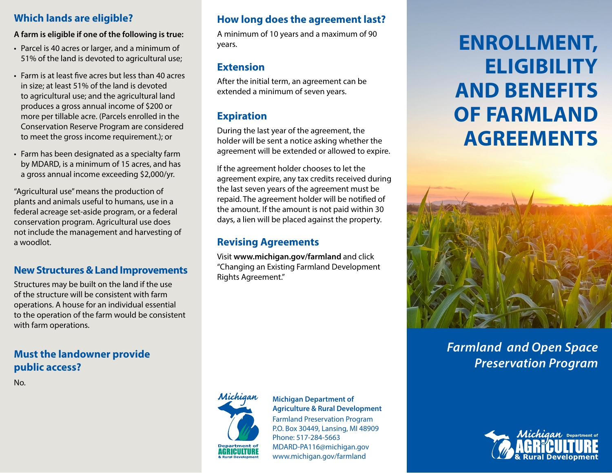## **Which lands are eligible?**

**A farm is eligible if one of the following is true:**

- Parcel is 40 acres or larger, and a minimum of 51% of the land is devoted to agricultural use;
- Farm is at least five acres but less than 40 acres in size; at least 51% of the land is devoted to agricultural use; and the agricultural land produces a gross annual income of \$200 or more per tillable acre. (Parcels enrolled in the Conservation Reserve Program are considered to meet the gross income requirement.); or
- Farm has been designated as a specialty farm by MDARD, is a minimum of 15 acres, and has a gross annual income exceeding \$2,000/yr.

"Agricultural use" means the production of plants and animals useful to humans, use in a federal acreage set-aside program, or a federal conservation program. Agricultural use does not include the management and harvesting of a woodlot.

### **New Structures & Land Improvements**

Structures may be built on the land if the use of the structure will be consistent with farm operations. A house for an individual essential to the operation of the farm would be consistent with farm operations.

## **Must the landowner provide public access?**

No.

### **How long does the agreement last?**

A minimum of 10 years and a maximum of 90 years.

### **Extension**

After the initial term, an agreement can be extended a minimum of seven years.

## **Expiration**

During the last year of the agreement, the holder will be sent a notice asking whether the agreement will be extended or allowed to expire.

If the agreement holder chooses to let the agreement expire, any tax credits received during the last seven years of the agreement must be repaid. The agreement holder will be notified of the amount. If the amount is not paid within 30 days, a lien will be placed against the property.

# **Revising Agreements**

Visit **www.michigan.gov/farmland** and click "Changing an Existing Farmland Development Rights Agreement."



### **Michigan Department of Agriculture & Rural Development**

Farmland Preservation Program P.O. Box 30449, Lansing, MI 48909 Phone: 517-284-5663 MDARD-PA116@michigan.gov www.michigan.gov/farmland

# **ENROLLMENT, ELIGIBILITY AND BENEFITS OF FARMLAND AGREEMENTS**



*Farmland and Open Space Preservation Program*